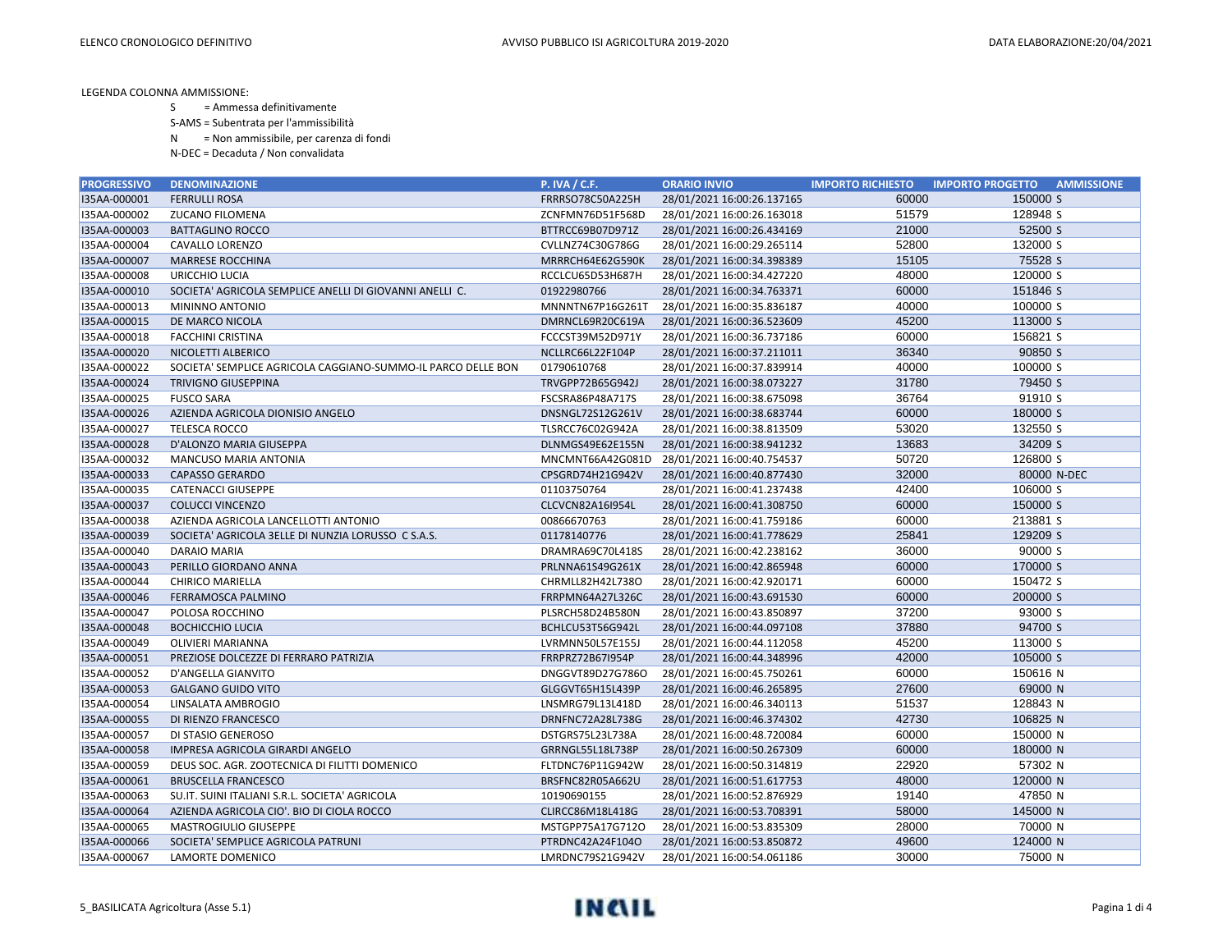- S = Ammessa definitivamente
- S-AMS = Subentrata per l'ammissibilità
- N = Non ammissibile, per carenza di fondi
- N-DEC = Decaduta / Non convalidata

| <b>PROGRESSIVO</b> | <b>DENOMINAZIONE</b>                                         | <b>P. IVA / C.F.</b> | <b>ORARIO INVIO</b>        | <b>IMPORTO RICHIESTO</b> | <b>AMMISSIONE</b><br><b>IMPORTO PROGETTO</b> |
|--------------------|--------------------------------------------------------------|----------------------|----------------------------|--------------------------|----------------------------------------------|
| I35AA-000001       | <b>FERRULLI ROSA</b>                                         | FRRRSO78C50A225H     | 28/01/2021 16:00:26.137165 | 60000                    | 150000 S                                     |
| I35AA-000002       | <b>ZUCANO FILOMENA</b>                                       | ZCNFMN76D51F568D     | 28/01/2021 16:00:26.163018 | 51579                    | 128948 S                                     |
| I35AA-000003       | <b>BATTAGLINO ROCCO</b>                                      | BTTRCC69B07D971Z     | 28/01/2021 16:00:26.434169 | 21000                    | 52500 S                                      |
| I35AA-000004       | CAVALLO LORENZO                                              | CVLLNZ74C30G786G     | 28/01/2021 16:00:29.265114 | 52800                    | 132000 S                                     |
| I35AA-000007       | <b>MARRESE ROCCHINA</b>                                      | MRRRCH64E62G590K     | 28/01/2021 16:00:34.398389 | 15105                    | 75528 S                                      |
| I35AA-000008       | URICCHIO LUCIA                                               | RCCLCU65D53H687H     | 28/01/2021 16:00:34.427220 | 48000                    | 120000 S                                     |
| I35AA-000010       | SOCIETA' AGRICOLA SEMPLICE ANELLI DI GIOVANNI ANELLI C.      | 01922980766          | 28/01/2021 16:00:34.763371 | 60000                    | 151846 S                                     |
| I35AA-000013       | MININNO ANTONIO                                              | MNNNTN67P16G261T     | 28/01/2021 16:00:35.836187 | 40000                    | 100000 S                                     |
| I35AA-000015       | DE MARCO NICOLA                                              | DMRNCL69R20C619A     | 28/01/2021 16:00:36.523609 | 45200                    | 113000 S                                     |
| I35AA-000018       | <b>FACCHINI CRISTINA</b>                                     | FCCCST39M52D971Y     | 28/01/2021 16:00:36.737186 | 60000                    | 156821 S                                     |
| I35AA-000020       | NICOLETTI ALBERICO                                           | NCLLRC66L22F104P     | 28/01/2021 16:00:37.211011 | 36340                    | 90850 S                                      |
| I35AA-000022       | SOCIETA' SEMPLICE AGRICOLA CAGGIANO-SUMMO-IL PARCO DELLE BON | 01790610768          | 28/01/2021 16:00:37.839914 | 40000                    | 100000 S                                     |
| I35AA-000024       | <b>TRIVIGNO GIUSEPPINA</b>                                   | TRVGPP72B65G942J     | 28/01/2021 16:00:38.073227 | 31780                    | 79450 S                                      |
| I35AA-000025       | <b>FUSCO SARA</b>                                            | FSCSRA86P48A717S     | 28/01/2021 16:00:38.675098 | 36764                    | 91910 S                                      |
| I35AA-000026       | AZIENDA AGRICOLA DIONISIO ANGELO                             | DNSNGL72S12G261V     | 28/01/2021 16:00:38.683744 | 60000                    | 180000 S                                     |
| I35AA-000027       | <b>TELESCA ROCCO</b>                                         | TLSRCC76C02G942A     | 28/01/2021 16:00:38.813509 | 53020                    | 132550 S                                     |
| I35AA-000028       | D'ALONZO MARIA GIUSEPPA                                      | DLNMGS49E62E155N     | 28/01/2021 16:00:38.941232 | 13683                    | 34209 S                                      |
| I35AA-000032       | MANCUSO MARIA ANTONIA                                        | MNCMNT66A42G081D     | 28/01/2021 16:00:40.754537 | 50720                    | 126800 S                                     |
| I35AA-000033       | <b>CAPASSO GERARDO</b>                                       | CPSGRD74H21G942V     | 28/01/2021 16:00:40.877430 | 32000                    | 80000 N-DEC                                  |
| I35AA-000035       | <b>CATENACCI GIUSEPPE</b>                                    | 01103750764          | 28/01/2021 16:00:41.237438 | 42400                    | 106000 S                                     |
| I35AA-000037       | <b>COLUCCI VINCENZO</b>                                      | CLCVCN82A16I954L     | 28/01/2021 16:00:41.308750 | 60000                    | 150000 S                                     |
| I35AA-000038       | AZIENDA AGRICOLA LANCELLOTTI ANTONIO                         | 00866670763          | 28/01/2021 16:00:41.759186 | 60000                    | 213881 S                                     |
| I35AA-000039       | SOCIETA' AGRICOLA 3ELLE DI NUNZIA LORUSSO C S.A.S.           | 01178140776          | 28/01/2021 16:00:41.778629 | 25841                    | 129209 S                                     |
| I35AA-000040       | <b>DARAIO MARIA</b>                                          | DRAMRA69C70L418S     | 28/01/2021 16:00:42.238162 | 36000                    | 90000 S                                      |
| I35AA-000043       | PERILLO GIORDANO ANNA                                        | PRLNNA61S49G261X     | 28/01/2021 16:00:42.865948 | 60000                    | 170000 S                                     |
| I35AA-000044       | CHIRICO MARIELLA                                             | CHRMLL82H42L738O     | 28/01/2021 16:00:42.920171 | 60000                    | 150472 S                                     |
| I35AA-000046       | FERRAMOSCA PALMINO                                           | FRRPMN64A27L326C     | 28/01/2021 16:00:43.691530 | 60000                    | 200000 S                                     |
| I35AA-000047       | POLOSA ROCCHINO                                              | PLSRCH58D24B580N     | 28/01/2021 16:00:43.850897 | 37200                    | 93000 S                                      |
| I35AA-000048       | <b>BOCHICCHIO LUCIA</b>                                      | BCHLCU53T56G942L     | 28/01/2021 16:00:44.097108 | 37880                    | 94700 S                                      |
| I35AA-000049       | OLIVIERI MARIANNA                                            | LVRMNN50L57E155J     | 28/01/2021 16:00:44.112058 | 45200                    | 113000 S                                     |
| I35AA-000051       | PREZIOSE DOLCEZZE DI FERRARO PATRIZIA                        | FRRPRZ72B67I954P     | 28/01/2021 16:00:44.348996 | 42000                    | 105000 S                                     |
| I35AA-000052       | D'ANGELLA GIANVITO                                           | DNGGVT89D27G786O     | 28/01/2021 16:00:45.750261 | 60000                    | 150616 N                                     |
| I35AA-000053       | <b>GALGANO GUIDO VITO</b>                                    | GLGGVT65H15L439P     | 28/01/2021 16:00:46.265895 | 27600                    | 69000 N                                      |
| I35AA-000054       | LINSALATA AMBROGIO                                           | LNSMRG79L13L418D     | 28/01/2021 16:00:46.340113 | 51537                    | 128843 N                                     |
| I35AA-000055       | DI RIENZO FRANCESCO                                          | DRNFNC72A28L738G     | 28/01/2021 16:00:46.374302 | 42730                    | 106825 N                                     |
| I35AA-000057       | DI STASIO GENEROSO                                           | DSTGRS75L23L738A     | 28/01/2021 16:00:48.720084 | 60000                    | 150000 N                                     |
| I35AA-000058       | IMPRESA AGRICOLA GIRARDI ANGELO                              | GRRNGL55L18L738P     | 28/01/2021 16:00:50.267309 | 60000                    | 180000 N                                     |
| I35AA-000059       | DEUS SOC. AGR. ZOOTECNICA DI FILITTI DOMENICO                | FLTDNC76P11G942W     | 28/01/2021 16:00:50.314819 | 22920                    | 57302 N                                      |
| I35AA-000061       | <b>BRUSCELLA FRANCESCO</b>                                   | BRSFNC82R05A662U     | 28/01/2021 16:00:51.617753 | 48000                    | 120000 N                                     |
| I35AA-000063       | SU.IT. SUINI ITALIANI S.R.L. SOCIETA' AGRICOLA               | 10190690155          | 28/01/2021 16:00:52.876929 | 19140                    | 47850 N                                      |
| I35AA-000064       | AZIENDA AGRICOLA CIO'. BIO DI CIOLA ROCCO                    | CLIRCC86M18L418G     | 28/01/2021 16:00:53.708391 | 58000                    | 145000 N                                     |
| I35AA-000065       | MASTROGIULIO GIUSEPPE                                        | MSTGPP75A17G712O     | 28/01/2021 16:00:53.835309 | 28000                    | 70000 N                                      |
| I35AA-000066       | SOCIETA' SEMPLICE AGRICOLA PATRUNI                           | PTRDNC42A24F104O     | 28/01/2021 16:00:53.850872 | 49600                    | 124000 N                                     |
| I35AA-000067       | LAMORTE DOMENICO                                             | LMRDNC79S21G942V     | 28/01/2021 16:00:54.061186 | 30000                    | 75000 N                                      |

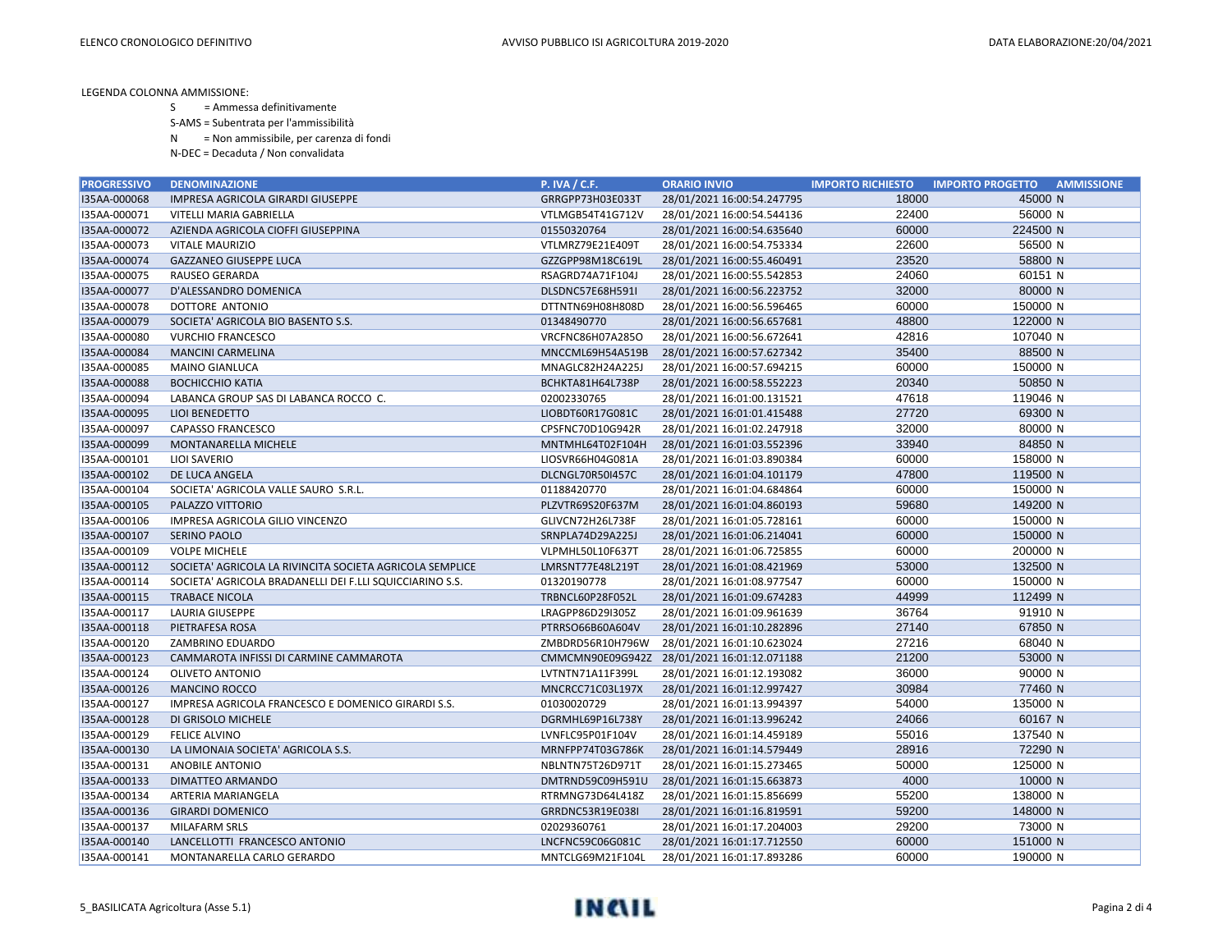- S = Ammessa definitivamente
- S-AMS = Subentrata per l'ammissibilità
- N = Non ammissibile, per carenza di fondi
- N-DEC = Decaduta / Non convalidata

| <b>PROGRESSIVO</b> | <b>DENOMINAZIONE</b>                                     | <b>P. IVA / C.F.</b> | <b>ORARIO INVIO</b>                         | <b>IMPORTO RICHIESTO</b> | <b>AMMISSIONE</b><br><b>IMPORTO PROGETTO</b> |
|--------------------|----------------------------------------------------------|----------------------|---------------------------------------------|--------------------------|----------------------------------------------|
| I35AA-000068       | IMPRESA AGRICOLA GIRARDI GIUSEPPE                        | GRRGPP73H03E033T     | 28/01/2021 16:00:54.247795                  | 18000                    | 45000 N                                      |
| I35AA-000071       | VITELLI MARIA GABRIELLA                                  | VTLMGB54T41G712V     | 28/01/2021 16:00:54.544136                  | 22400                    | 56000 N                                      |
| I35AA-000072       | AZIENDA AGRICOLA CIOFFI GIUSEPPINA                       | 01550320764          | 28/01/2021 16:00:54.635640                  | 60000                    | 224500 N                                     |
| I35AA-000073       | <b>VITALE MAURIZIO</b>                                   | VTLMRZ79E21E409T     | 28/01/2021 16:00:54.753334                  | 22600                    | 56500 N                                      |
| I35AA-000074       | <b>GAZZANEO GIUSEPPE LUCA</b>                            | GZZGPP98M18C619L     | 28/01/2021 16:00:55.460491                  | 23520                    | 58800 N                                      |
| I35AA-000075       | <b>RAUSEO GERARDA</b>                                    | RSAGRD74A71F104J     | 28/01/2021 16:00:55.542853                  | 24060                    | 60151 N                                      |
| I35AA-000077       | D'ALESSANDRO DOMENICA                                    | DLSDNC57E68H591I     | 28/01/2021 16:00:56.223752                  | 32000                    | 80000 N                                      |
| I35AA-000078       | DOTTORE ANTONIO                                          | DTTNTN69H08H808D     | 28/01/2021 16:00:56.596465                  | 60000                    | 150000 N                                     |
| I35AA-000079       | SOCIETA' AGRICOLA BIO BASENTO S.S.                       | 01348490770          | 28/01/2021 16:00:56.657681                  | 48800                    | 122000 N                                     |
| I35AA-000080       | <b>VURCHIO FRANCESCO</b>                                 | VRCFNC86H07A285O     | 28/01/2021 16:00:56.672641                  | 42816                    | 107040 N                                     |
| I35AA-000084       | <b>MANCINI CARMELINA</b>                                 | MNCCML69H54A519B     | 28/01/2021 16:00:57.627342                  | 35400                    | 88500 N                                      |
| I35AA-000085       | MAINO GIANLUCA                                           | MNAGLC82H24A225J     | 28/01/2021 16:00:57.694215                  | 60000                    | 150000 N                                     |
| I35AA-000088       | <b>BOCHICCHIO KATIA</b>                                  | BCHKTA81H64L738P     | 28/01/2021 16:00:58.552223                  | 20340                    | 50850 N                                      |
| I35AA-000094       | LABANCA GROUP SAS DI LABANCA ROCCO C.                    | 02002330765          | 28/01/2021 16:01:00.131521                  | 47618                    | 119046 N                                     |
| I35AA-000095       | LIOI BENEDETTO                                           | LIOBDT60R17G081C     | 28/01/2021 16:01:01.415488                  | 27720                    | 69300 N                                      |
| I35AA-000097       | <b>CAPASSO FRANCESCO</b>                                 | CPSFNC70D10G942R     | 28/01/2021 16:01:02.247918                  | 32000                    | 80000 N                                      |
| I35AA-000099       | MONTANARELLA MICHELE                                     | MNTMHL64T02F104H     | 28/01/2021 16:01:03.552396                  | 33940                    | 84850 N                                      |
| I35AA-000101       | <b>LIOI SAVERIO</b>                                      | LIOSVR66H04G081A     | 28/01/2021 16:01:03.890384                  | 60000                    | 158000 N                                     |
| I35AA-000102       | DE LUCA ANGELA                                           | DLCNGL70R50I457C     | 28/01/2021 16:01:04.101179                  | 47800                    | 119500 N                                     |
| I35AA-000104       | SOCIETA' AGRICOLA VALLE SAURO S.R.L.                     | 01188420770          | 28/01/2021 16:01:04.684864                  | 60000                    | 150000 N                                     |
| I35AA-000105       | PALAZZO VITTORIO                                         | PLZVTR69S20F637M     | 28/01/2021 16:01:04.860193                  | 59680                    | 149200 N                                     |
| I35AA-000106       | IMPRESA AGRICOLA GILIO VINCENZO                          | GLIVCN72H26L738F     | 28/01/2021 16:01:05.728161                  | 60000                    | 150000 N                                     |
| I35AA-000107       | <b>SERINO PAOLO</b>                                      | SRNPLA74D29A225J     | 28/01/2021 16:01:06.214041                  | 60000                    | 150000 N                                     |
| I35AA-000109       | <b>VOLPE MICHELE</b>                                     | VLPMHL50L10F637T     | 28/01/2021 16:01:06.725855                  | 60000                    | 200000 N                                     |
| I35AA-000112       | SOCIETA' AGRICOLA LA RIVINCITA SOCIETA AGRICOLA SEMPLICE | LMRSNT77E48L219T     | 28/01/2021 16:01:08.421969                  | 53000                    | 132500 N                                     |
| I35AA-000114       | SOCIETA' AGRICOLA BRADANELLI DEI F.LLI SQUICCIARINO S.S. | 01320190778          | 28/01/2021 16:01:08.977547                  | 60000                    | 150000 N                                     |
| I35AA-000115       | <b>TRABACE NICOLA</b>                                    | TRBNCL60P28F052L     | 28/01/2021 16:01:09.674283                  | 44999                    | 112499 N                                     |
| I35AA-000117       | <b>LAURIA GIUSEPPE</b>                                   | LRAGPP86D29I305Z     | 28/01/2021 16:01:09.961639                  | 36764                    | 91910 N                                      |
| I35AA-000118       | PIETRAFESA ROSA                                          | PTRRSO66B60A604V     | 28/01/2021 16:01:10.282896                  | 27140                    | 67850 N                                      |
| I35AA-000120       | ZAMBRINO EDUARDO                                         | ZMBDRD56R10H796W     | 28/01/2021 16:01:10.623024                  | 27216                    | 68040 N                                      |
| I35AA-000123       | CAMMAROTA INFISSI DI CARMINE CAMMAROTA                   |                      | CMMCMN90E09G942Z 28/01/2021 16:01:12.071188 | 21200                    | 53000 N                                      |
| I35AA-000124       | <b>OLIVETO ANTONIO</b>                                   | LVTNTN71A11F399L     | 28/01/2021 16:01:12.193082                  | 36000                    | 90000 N                                      |
| I35AA-000126       | <b>MANCINO ROCCO</b>                                     | MNCRCC71C03L197X     | 28/01/2021 16:01:12.997427                  | 30984                    | 77460 N                                      |
| I35AA-000127       | IMPRESA AGRICOLA FRANCESCO E DOMENICO GIRARDI S.S.       | 01030020729          | 28/01/2021 16:01:13.994397                  | 54000                    | 135000 N                                     |
| I35AA-000128       | DI GRISOLO MICHELE                                       | DGRMHL69P16L738Y     | 28/01/2021 16:01:13.996242                  | 24066                    | 60167 N                                      |
| I35AA-000129       | <b>FELICE ALVINO</b>                                     | LVNFLC95P01F104V     | 28/01/2021 16:01:14.459189                  | 55016                    | 137540 N                                     |
| I35AA-000130       | LA LIMONAIA SOCIETA' AGRICOLA S.S.                       | MRNFPP74T03G786K     | 28/01/2021 16:01:14.579449                  | 28916                    | 72290 N                                      |
| I35AA-000131       | <b>ANOBILE ANTONIO</b>                                   | NBLNTN75T26D971T     | 28/01/2021 16:01:15.273465                  | 50000                    | 125000 N                                     |
| I35AA-000133       | DIMATTEO ARMANDO                                         | DMTRND59C09H591U     | 28/01/2021 16:01:15.663873                  | 4000                     | 10000 N                                      |
| I35AA-000134       | ARTERIA MARIANGELA                                       | RTRMNG73D64L418Z     | 28/01/2021 16:01:15.856699                  | 55200                    | 138000 N                                     |
| I35AA-000136       | <b>GIRARDI DOMENICO</b>                                  | GRRDNC53R19E038I     | 28/01/2021 16:01:16.819591                  | 59200                    | 148000 N                                     |
| I35AA-000137       | <b>MILAFARM SRLS</b>                                     | 02029360761          | 28/01/2021 16:01:17.204003                  | 29200                    | 73000 N                                      |
| I35AA-000140       | LANCELLOTTI FRANCESCO ANTONIO                            | LNCFNC59C06G081C     | 28/01/2021 16:01:17.712550                  | 60000                    | 151000 N                                     |
| I35AA-000141       | MONTANARELLA CARLO GERARDO                               | MNTCLG69M21F104L     | 28/01/2021 16:01:17.893286                  | 60000                    | 190000 N                                     |

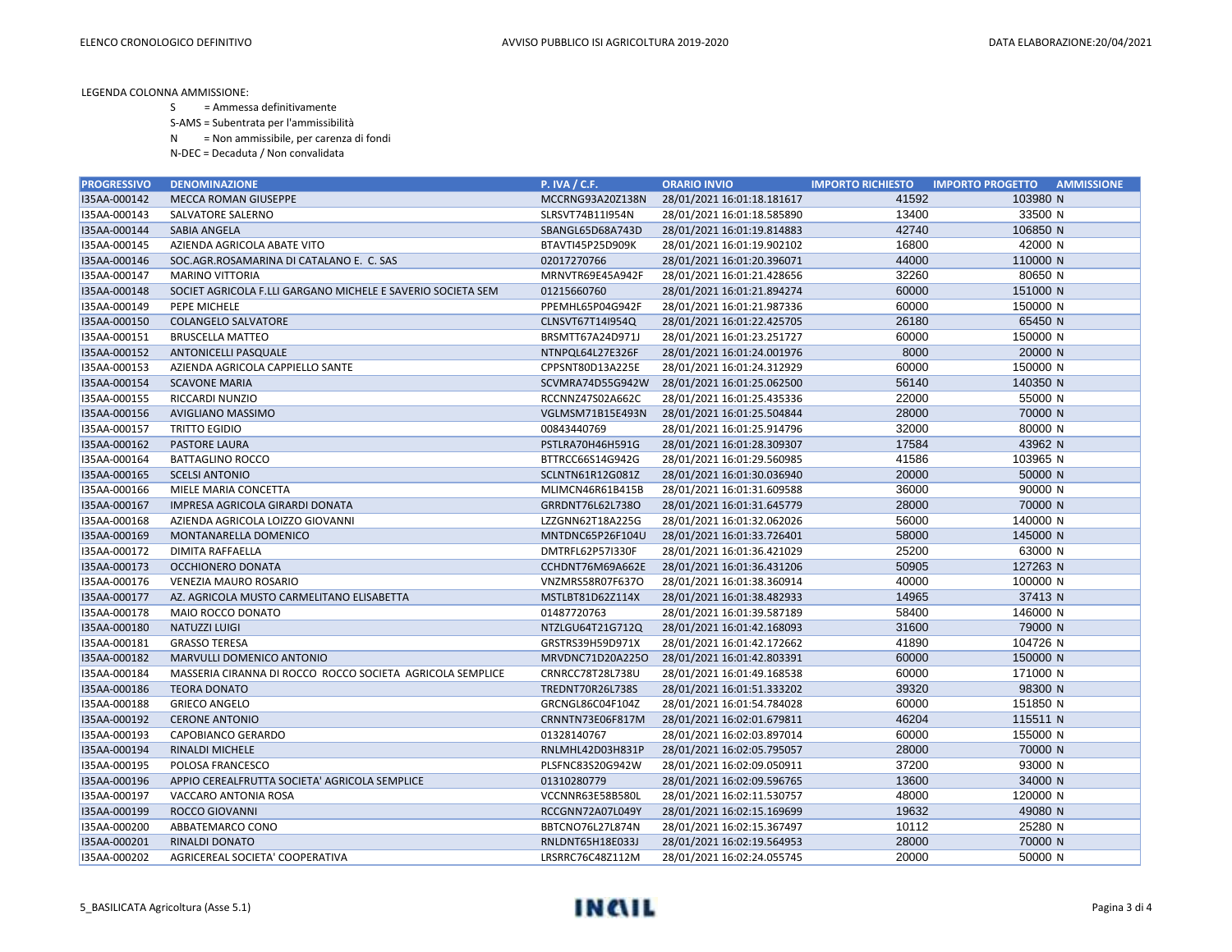- S = Ammessa definitivamente
- S-AMS = Subentrata per l'ammissibilità
- N = Non ammissibile, per carenza di fondi
- N-DEC = Decaduta / Non convalidata

| <b>PROGRESSIVO</b> | <b>DENOMINAZIONE</b>                                        | <b>P. IVA / C.F.</b> | <b>ORARIO INVIO</b>        | <b>IMPORTO RICHIESTO</b> | <b>IMPORTO PROGETTO</b><br><b>AMMISSIONE</b> |
|--------------------|-------------------------------------------------------------|----------------------|----------------------------|--------------------------|----------------------------------------------|
| I35AA-000142       | <b>MECCA ROMAN GIUSEPPE</b>                                 | MCCRNG93A20Z138N     | 28/01/2021 16:01:18.181617 | 41592                    | 103980 N                                     |
| I35AA-000143       | SALVATORE SALERNO                                           | SLRSVT74B11I954N     | 28/01/2021 16:01:18.585890 | 13400                    | 33500 N                                      |
| I35AA-000144       | <b>SABIA ANGELA</b>                                         | SBANGL65D68A743D     | 28/01/2021 16:01:19.814883 | 42740                    | 106850 N                                     |
| I35AA-000145       | AZIENDA AGRICOLA ABATE VITO                                 | BTAVTI45P25D909K     | 28/01/2021 16:01:19.902102 | 16800                    | 42000 N                                      |
| I35AA-000146       | SOC.AGR.ROSAMARINA DI CATALANO E. C. SAS                    | 02017270766          | 28/01/2021 16:01:20.396071 | 44000                    | 110000 N                                     |
| I35AA-000147       | <b>MARINO VITTORIA</b>                                      | MRNVTR69E45A942F     | 28/01/2021 16:01:21.428656 | 32260                    | 80650 N                                      |
| I35AA-000148       | SOCIET AGRICOLA F.LLI GARGANO MICHELE E SAVERIO SOCIETA SEM | 01215660760          | 28/01/2021 16:01:21.894274 | 60000                    | 151000 N                                     |
| I35AA-000149       | PEPE MICHELE                                                | PPEMHL65P04G942F     | 28/01/2021 16:01:21.987336 | 60000                    | 150000 N                                     |
| I35AA-000150       | <b>COLANGELO SALVATORE</b>                                  | CLNSVT67T14I954Q     | 28/01/2021 16:01:22.425705 | 26180                    | 65450 N                                      |
| I35AA-000151       | <b>BRUSCELLA MATTEO</b>                                     | BRSMTT67A24D971J     | 28/01/2021 16:01:23.251727 | 60000                    | 150000 N                                     |
| I35AA-000152       | ANTONICELLI PASQUALE                                        | NTNPQL64L27E326F     | 28/01/2021 16:01:24.001976 | 8000                     | 20000 N                                      |
| I35AA-000153       | AZIENDA AGRICOLA CAPPIELLO SANTE                            | CPPSNT80D13A225E     | 28/01/2021 16:01:24.312929 | 60000                    | 150000 N                                     |
| I35AA-000154       | <b>SCAVONE MARIA</b>                                        | SCVMRA74D55G942W     | 28/01/2021 16:01:25.062500 | 56140                    | 140350 N                                     |
| I35AA-000155       | RICCARDI NUNZIO                                             | RCCNNZ47S02A662C     | 28/01/2021 16:01:25.435336 | 22000                    | 55000 N                                      |
| I35AA-000156       | AVIGLIANO MASSIMO                                           | VGLMSM71B15E493N     | 28/01/2021 16:01:25.504844 | 28000                    | 70000 N                                      |
| I35AA-000157       | <b>TRITTO EGIDIO</b>                                        | 00843440769          | 28/01/2021 16:01:25.914796 | 32000                    | 80000 N                                      |
| I35AA-000162       | <b>PASTORE LAURA</b>                                        | PSTLRA70H46H591G     | 28/01/2021 16:01:28.309307 | 17584                    | 43962 N                                      |
| I35AA-000164       | <b>BATTAGLINO ROCCO</b>                                     | BTTRCC66S14G942G     | 28/01/2021 16:01:29.560985 | 41586                    | 103965 N                                     |
| I35AA-000165       | <b>SCELSI ANTONIO</b>                                       | SCLNTN61R12G081Z     | 28/01/2021 16:01:30.036940 | 20000                    | 50000 N                                      |
| I35AA-000166       | MIELE MARIA CONCETTA                                        | MLIMCN46R61B415B     | 28/01/2021 16:01:31.609588 | 36000                    | 90000 N                                      |
| I35AA-000167       | IMPRESA AGRICOLA GIRARDI DONATA                             | GRRDNT76L62L738O     | 28/01/2021 16:01:31.645779 | 28000                    | 70000 N                                      |
| I35AA-000168       | AZIENDA AGRICOLA LOIZZO GIOVANNI                            | LZZGNN62T18A225G     | 28/01/2021 16:01:32.062026 | 56000                    | 140000 N                                     |
| I35AA-000169       | MONTANARELLA DOMENICO                                       | MNTDNC65P26F104U     | 28/01/2021 16:01:33.726401 | 58000                    | 145000 N                                     |
| I35AA-000172       | DIMITA RAFFAELLA                                            | DMTRFL62P57I330F     | 28/01/2021 16:01:36.421029 | 25200                    | 63000 N                                      |
| I35AA-000173       | OCCHIONERO DONATA                                           | CCHDNT76M69A662E     | 28/01/2021 16:01:36.431206 | 50905                    | 127263 N                                     |
| I35AA-000176       | VENEZIA MAURO ROSARIO                                       | VNZMRS58R07F637O     | 28/01/2021 16:01:38.360914 | 40000                    | 100000 N                                     |
| I35AA-000177       | AZ. AGRICOLA MUSTO CARMELITANO ELISABETTA                   | MSTLBT81D62Z114X     | 28/01/2021 16:01:38.482933 | 14965                    | 37413 N                                      |
| I35AA-000178       | MAIO ROCCO DONATO                                           | 01487720763          | 28/01/2021 16:01:39.587189 | 58400                    | 146000 N                                     |
| I35AA-000180       | NATUZZI LUIGI                                               | NTZLGU64T21G712Q     | 28/01/2021 16:01:42.168093 | 31600                    | 79000 N                                      |
| I35AA-000181       | <b>GRASSO TERESA</b>                                        | GRSTRS39H59D971X     | 28/01/2021 16:01:42.172662 | 41890                    | 104726 N                                     |
| I35AA-000182       | MARVULLI DOMENICO ANTONIO                                   | MRVDNC71D20A225O     | 28/01/2021 16:01:42.803391 | 60000                    | 150000 N                                     |
| I35AA-000184       | MASSERIA CIRANNA DI ROCCO ROCCO SOCIETA AGRICOLA SEMPLICE   | CRNRCC78T28L738U     | 28/01/2021 16:01:49.168538 | 60000                    | 171000 N                                     |
| I35AA-000186       | <b>TEORA DONATO</b>                                         | TREDNT70R26L738S     | 28/01/2021 16:01:51.333202 | 39320                    | 98300 N                                      |
| I35AA-000188       | <b>GRIECO ANGELO</b>                                        | GRCNGL86C04F104Z     | 28/01/2021 16:01:54.784028 | 60000                    | 151850 N                                     |
| I35AA-000192       | <b>CERONE ANTONIO</b>                                       | CRNNTN73E06F817M     | 28/01/2021 16:02:01.679811 | 46204                    | 115511 N                                     |
| I35AA-000193       | CAPOBIANCO GERARDO                                          | 01328140767          | 28/01/2021 16:02:03.897014 | 60000                    | 155000 N                                     |
| I35AA-000194       | <b>RINALDI MICHELE</b>                                      | RNLMHL42D03H831P     | 28/01/2021 16:02:05.795057 | 28000                    | 70000 N                                      |
| I35AA-000195       | POLOSA FRANCESCO                                            | PLSFNC83S20G942W     | 28/01/2021 16:02:09.050911 | 37200                    | 93000 N                                      |
| I35AA-000196       | APPIO CEREALFRUTTA SOCIETA' AGRICOLA SEMPLICE               | 01310280779          | 28/01/2021 16:02:09.596765 | 13600                    | 34000 N                                      |
| I35AA-000197       | VACCARO ANTONIA ROSA                                        | VCCNNR63E58B580L     | 28/01/2021 16:02:11.530757 | 48000                    | 120000 N                                     |
| I35AA-000199       | <b>ROCCO GIOVANNI</b>                                       | RCCGNN72A07L049Y     | 28/01/2021 16:02:15.169699 | 19632                    | 49080 N                                      |
| I35AA-000200       | ABBATEMARCO CONO                                            | BBTCNO76L27L874N     | 28/01/2021 16:02:15.367497 | 10112                    | 25280 N                                      |
| I35AA-000201       | <b>RINALDI DONATO</b>                                       | RNLDNT65H18E033J     | 28/01/2021 16:02:19.564953 | 28000                    | 70000 N                                      |
| I35AA-000202       | AGRICEREAL SOCIETA' COOPERATIVA                             | LRSRRC76C48Z112M     | 28/01/2021 16:02:24.055745 | 20000                    | 50000 N                                      |